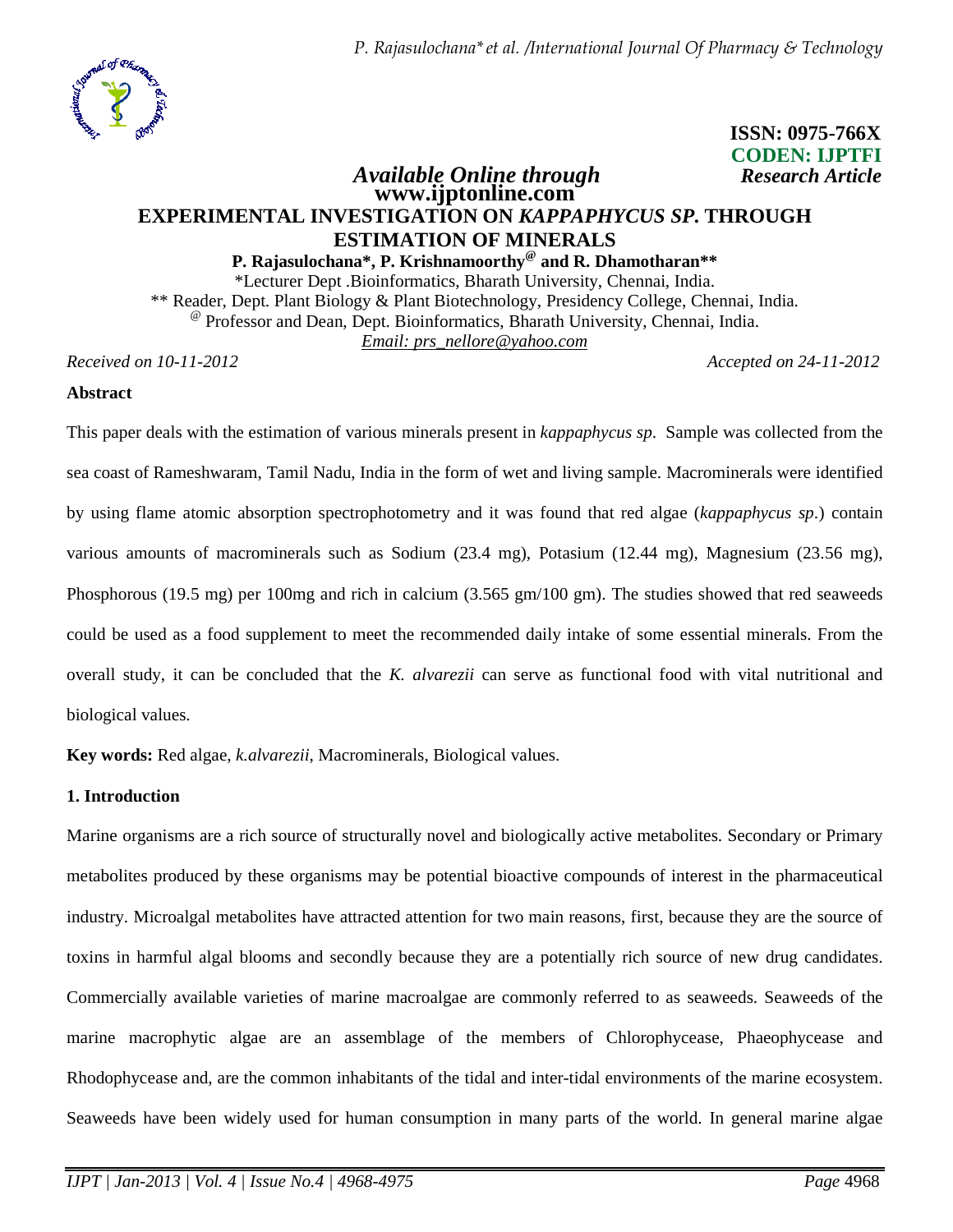

**ISSN: 0975-766X CODEN: IJPTFI** 

# *Available Online through Research Article* **www.ijptonline.com EXPERIMENTAL INVESTIGATION ON** *KAPPAPHYCUS SP***. THROUGH ESTIMATION OF MINERALS**

# **P. Rajasulochana\*, P. Krishnamoorthy@ and R. Dhamotharan\*\***

\*Lecturer Dept .Bioinformatics, Bharath University, Chennai, India. \*\* Reader, Dept. Plant Biology & Plant Biotechnology, Presidency College, Chennai, India. @ Professor and Dean, Dept. Bioinformatics, Bharath University, Chennai, India. *Email: prs\_nellore@yahoo.com*

*Received on 10-11-2012 Accepted on 24-11-2012*

### **Abstract**

This paper deals with the estimation of various minerals present in *kappaphycus sp*. Sample was collected from the sea coast of Rameshwaram, Tamil Nadu, India in the form of wet and living sample. Macrominerals were identified by using flame atomic absorption spectrophotometry and it was found that red algae (*kappaphycus sp*.) contain various amounts of macrominerals such as Sodium (23.4 mg), Potasium (12.44 mg), Magnesium (23.56 mg), Phosphorous (19.5 mg) per 100mg and rich in calcium (3.565 gm/100 gm). The studies showed that red seaweeds could be used as a food supplement to meet the recommended daily intake of some essential minerals. From the overall study, it can be concluded that the *K. alvarezii* can serve as functional food with vital nutritional and biological values.

**Key words:** Red algae, *k.alvarezii*, Macrominerals, Biological values.

### **1. Introduction**

Marine organisms are a rich source of structurally novel and biologically active metabolites. Secondary or Primary metabolites produced by these organisms may be potential bioactive compounds of interest in the pharmaceutical industry. Microalgal metabolites have attracted attention for two main reasons, first, because they are the source of toxins in harmful algal blooms and secondly because they are a potentially rich source of new drug candidates. Commercially available varieties of marine macroalgae are commonly referred to as seaweeds. Seaweeds of the marine macrophytic algae are an assemblage of the members of Chlorophycease, Phaeophycease and Rhodophycease and, are the common inhabitants of the tidal and inter-tidal environments of the marine ecosystem. Seaweeds have been widely used for human consumption in many parts of the world. In general marine algae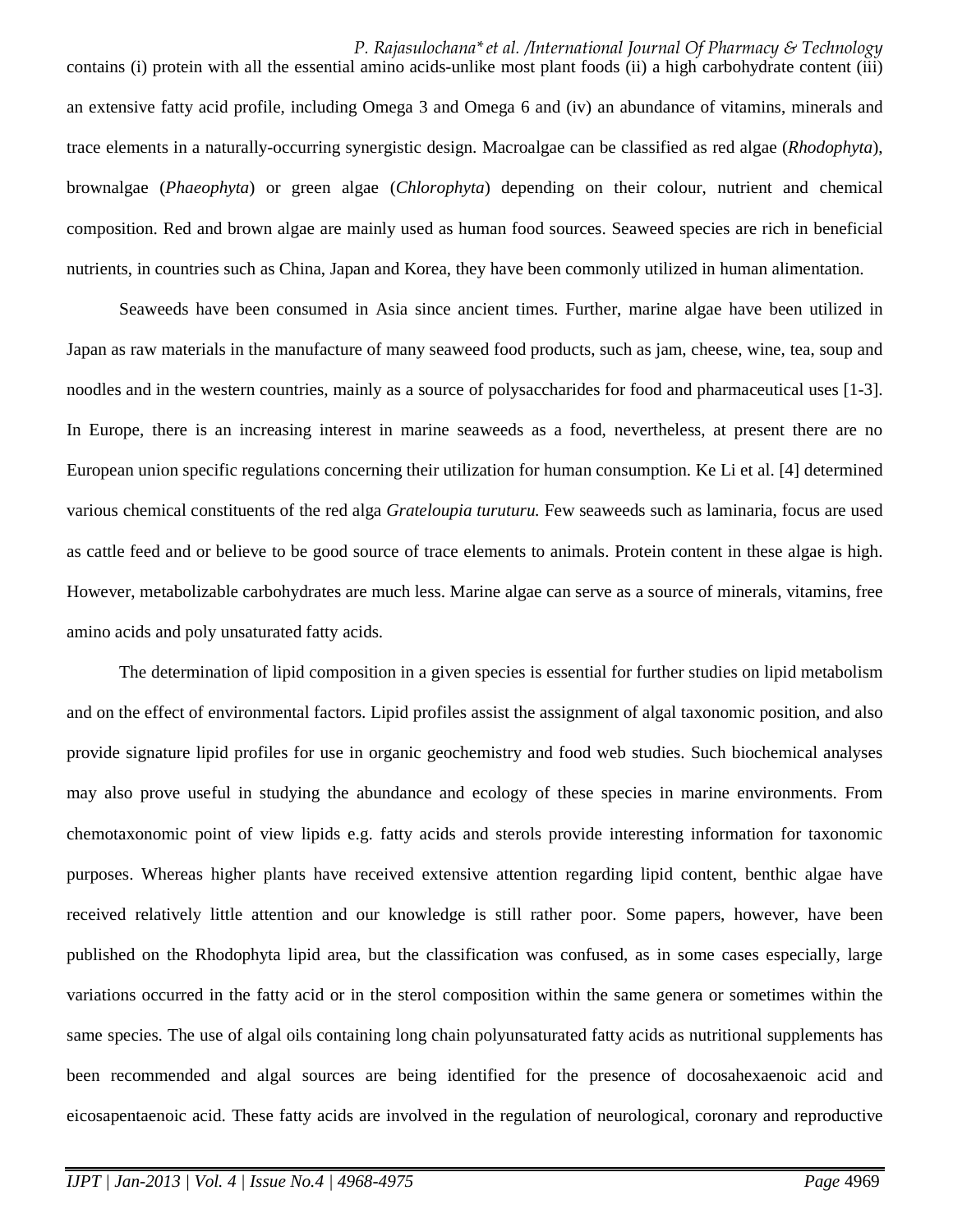*P. Rajasulochana\*et al. /International Journal Of Pharmacy & Technology*  contains (i) protein with all the essential amino acids-unlike most plant foods (ii) a high carbohydrate content (iii) an extensive fatty acid profile, including Omega 3 and Omega 6 and (iv) an abundance of vitamins, minerals and trace elements in a naturally-occurring synergistic design. Macroalgae can be classified as red algae (*Rhodophyta*), brownalgae (*Phaeophyta*) or green algae (*Chlorophyta*) depending on their colour, nutrient and chemical composition. Red and brown algae are mainly used as human food sources. Seaweed species are rich in beneficial nutrients, in countries such as China, Japan and Korea, they have been commonly utilized in human alimentation.

Seaweeds have been consumed in Asia since ancient times. Further, marine algae have been utilized in Japan as raw materials in the manufacture of many seaweed food products, such as jam, cheese, wine, tea, soup and noodles and in the western countries, mainly as a source of polysaccharides for food and pharmaceutical uses [1-3]. In Europe, there is an increasing interest in marine seaweeds as a food, nevertheless, at present there are no European union specific regulations concerning their utilization for human consumption. Ke Li et al. [4] determined various chemical constituents of the red alga *Grateloupia turuturu.* Few seaweeds such as laminaria, focus are used as cattle feed and or believe to be good source of trace elements to animals. Protein content in these algae is high. However, metabolizable carbohydrates are much less. Marine algae can serve as a source of minerals, vitamins, free amino acids and poly unsaturated fatty acids.

The determination of lipid composition in a given species is essential for further studies on lipid metabolism and on the effect of environmental factors. Lipid profiles assist the assignment of algal taxonomic position, and also provide signature lipid profiles for use in organic geochemistry and food web studies. Such biochemical analyses may also prove useful in studying the abundance and ecology of these species in marine environments. From chemotaxonomic point of view lipids e.g. fatty acids and sterols provide interesting information for taxonomic purposes. Whereas higher plants have received extensive attention regarding lipid content, benthic algae have received relatively little attention and our knowledge is still rather poor. Some papers, however, have been published on the Rhodophyta lipid area, but the classification was confused, as in some cases especially, large variations occurred in the fatty acid or in the sterol composition within the same genera or sometimes within the same species. The use of algal oils containing long chain polyunsaturated fatty acids as nutritional supplements has been recommended and algal sources are being identified for the presence of docosahexaenoic acid and eicosapentaenoic acid. These fatty acids are involved in the regulation of neurological, coronary and reproductive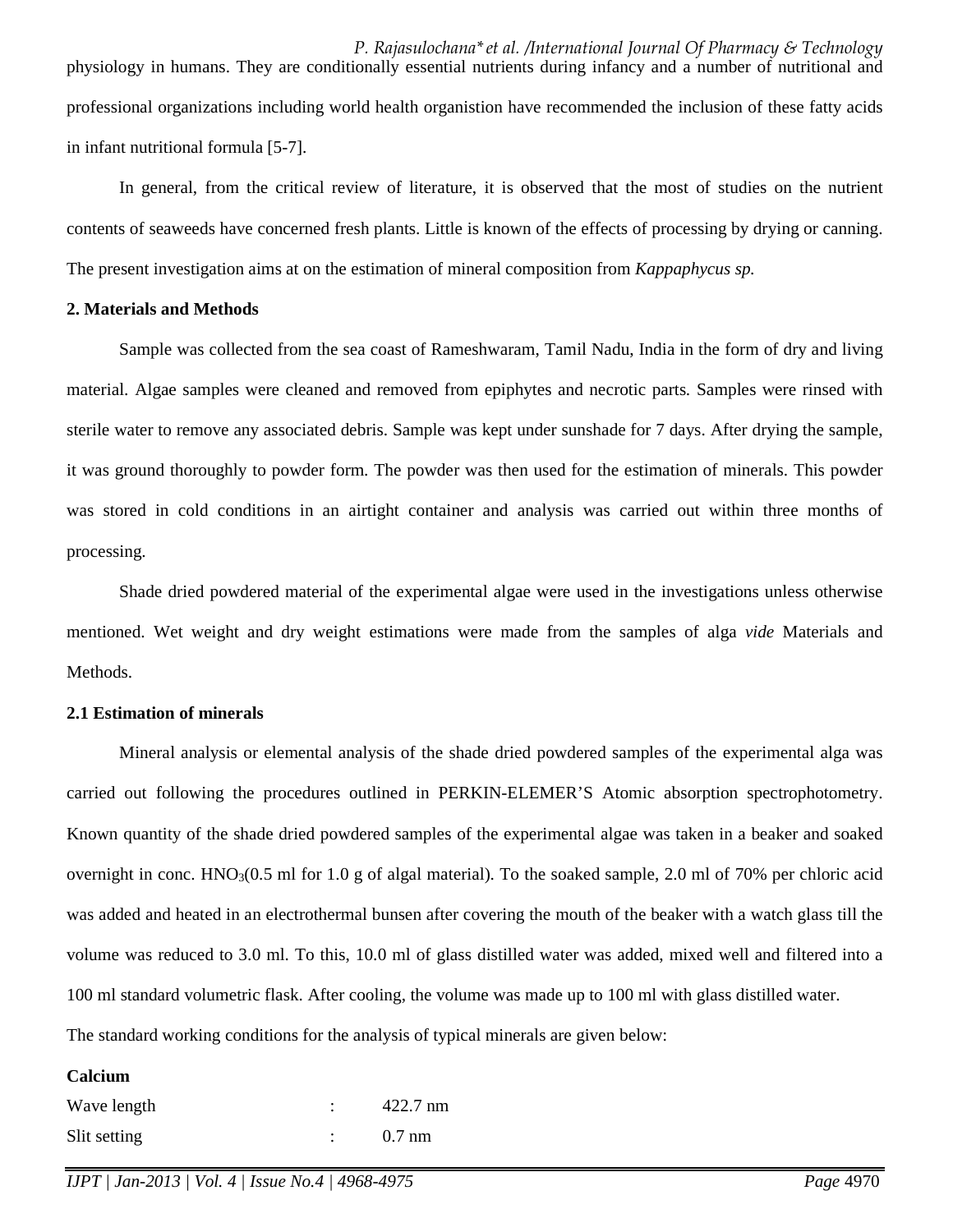*P. Rajasulochana\*et al. /International Journal Of Pharmacy & Technology*  physiology in humans. They are conditionally essential nutrients during infancy and a number of nutritional and professional organizations including world health organistion have recommended the inclusion of these fatty acids in infant nutritional formula [5-7].

In general, from the critical review of literature, it is observed that the most of studies on the nutrient contents of seaweeds have concerned fresh plants. Little is known of the effects of processing by drying or canning. The present investigation aims at on the estimation of mineral composition from *Kappaphycus sp.*

## **2. Materials and Methods**

Sample was collected from the sea coast of Rameshwaram, Tamil Nadu, India in the form of dry and living material. Algae samples were cleaned and removed from epiphytes and necrotic parts. Samples were rinsed with sterile water to remove any associated debris. Sample was kept under sunshade for 7 days. After drying the sample, it was ground thoroughly to powder form. The powder was then used for the estimation of minerals. This powder was stored in cold conditions in an airtight container and analysis was carried out within three months of processing.

Shade dried powdered material of the experimental algae were used in the investigations unless otherwise mentioned. Wet weight and dry weight estimations were made from the samples of alga *vide* Materials and Methods.

## **2.1 Estimation of minerals**

Mineral analysis or elemental analysis of the shade dried powdered samples of the experimental alga was carried out following the procedures outlined in PERKIN-ELEMER'S Atomic absorption spectrophotometry. Known quantity of the shade dried powdered samples of the experimental algae was taken in a beaker and soaked overnight in conc.  $HNO<sub>3</sub>(0.5 \text{ ml}$  for 1.0 g of algal material). To the soaked sample, 2.0 ml of 70% per chloric acid was added and heated in an electrothermal bunsen after covering the mouth of the beaker with a watch glass till the volume was reduced to 3.0 ml. To this, 10.0 ml of glass distilled water was added, mixed well and filtered into a 100 ml standard volumetric flask. After cooling, the volume was made up to 100 ml with glass distilled water. The standard working conditions for the analysis of typical minerals are given below:

#### **Calcium**

| Wave length  | $422.7 \text{ nm}$ |
|--------------|--------------------|
| Slit setting | $0.7 \text{ nm}$   |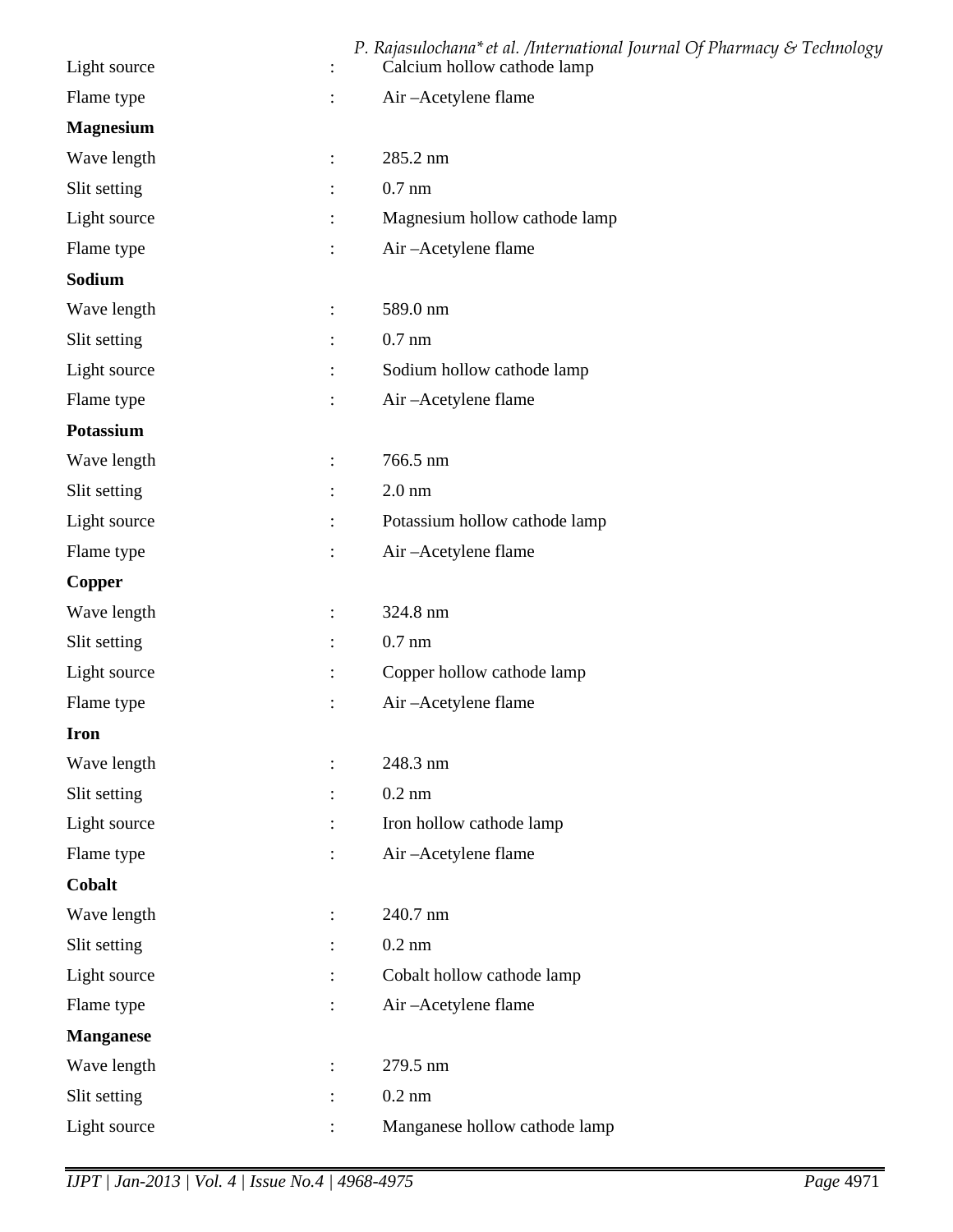|                  |                | P. Rajasulochana* et al. /International Journal Of Pharmacy & Technology |
|------------------|----------------|--------------------------------------------------------------------------|
| Light source     |                | Calcium hollow cathode lamp                                              |
| Flame type       |                | Air-Acetylene flame                                                      |
| <b>Magnesium</b> |                |                                                                          |
| Wave length      | $\ddot{\cdot}$ | 285.2 nm                                                                 |
| Slit setting     | $\ddot{\cdot}$ | $0.7$ nm                                                                 |
| Light source     | $\ddot{\cdot}$ | Magnesium hollow cathode lamp                                            |
| Flame type       | :              | Air-Acetylene flame                                                      |
| Sodium           |                |                                                                          |
| Wave length      | $\ddot{\cdot}$ | 589.0 nm                                                                 |
| Slit setting     | :              | $0.7$ nm                                                                 |
| Light source     | $\ddot{\cdot}$ | Sodium hollow cathode lamp                                               |
| Flame type       |                | Air-Acetylene flame                                                      |
| <b>Potassium</b> |                |                                                                          |
| Wave length      | :              | 766.5 nm                                                                 |
| Slit setting     |                | $2.0 \text{ nm}$                                                         |
| Light source     | :              | Potassium hollow cathode lamp                                            |
| Flame type       | $\ddot{\cdot}$ | Air-Acetylene flame                                                      |
| <b>Copper</b>    |                |                                                                          |
| Wave length      | :              | 324.8 nm                                                                 |
| Slit setting     | :              | $0.7$ nm                                                                 |
| Light source     |                | Copper hollow cathode lamp                                               |
| Flame type       |                | Air-Acetylene flame                                                      |
| <b>Iron</b>      |                |                                                                          |
| Wave length      | $\ddot{\cdot}$ | 248.3 nm                                                                 |
| Slit setting     | $\ddot{\cdot}$ | $0.2$ nm                                                                 |
| Light source     |                | Iron hollow cathode lamp                                                 |
| Flame type       | $\ddot{\cdot}$ | Air-Acetylene flame                                                      |
| Cobalt           |                |                                                                          |
| Wave length      | $\ddot{\cdot}$ | 240.7 nm                                                                 |
| Slit setting     | $\ddot{\cdot}$ | $0.2 \text{ nm}$                                                         |
| Light source     | $\ddot{\cdot}$ | Cobalt hollow cathode lamp                                               |
| Flame type       | $\ddot{\cdot}$ | Air-Acetylene flame                                                      |
| <b>Manganese</b> |                |                                                                          |
| Wave length      | :              | 279.5 nm                                                                 |
| Slit setting     | :              | $0.2$ nm                                                                 |
| Light source     |                | Manganese hollow cathode lamp                                            |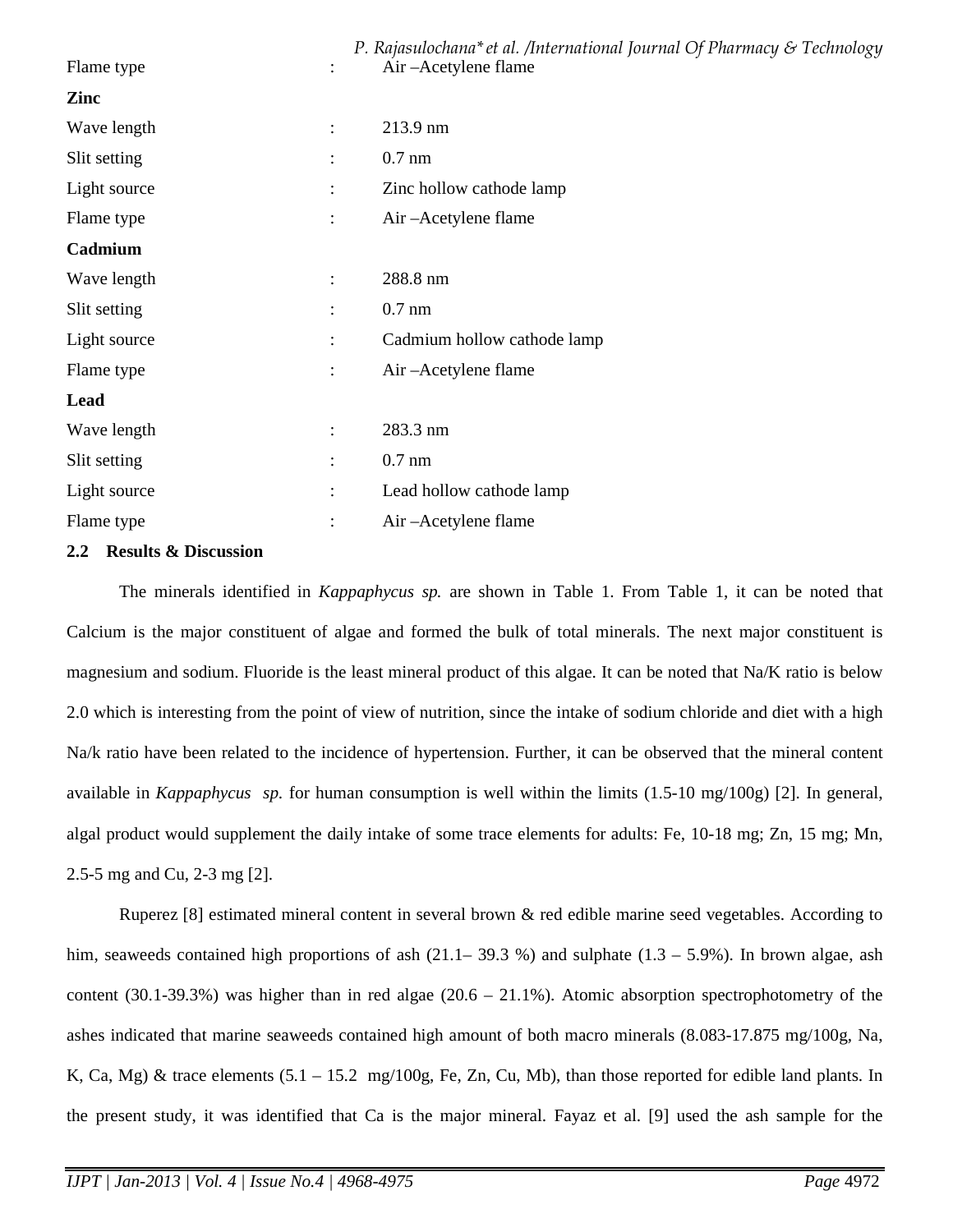| Flame type<br>$\ddot{\cdot}$   | P. Rajasulochana* et al. /International Journal Of Pharmacy & Technology<br>Air – Acetylene flame |
|--------------------------------|---------------------------------------------------------------------------------------------------|
| Zinc                           |                                                                                                   |
| Wave length<br>$\vdots$        | 213.9 nm                                                                                          |
| Slit setting<br>$\ddot{\cdot}$ | $0.7$ nm                                                                                          |
| Light source<br>$\ddot{\cdot}$ | Zinc hollow cathode lamp                                                                          |
| Flame type<br>$\ddot{\cdot}$   | Air – Acetylene flame                                                                             |
| Cadmium                        |                                                                                                   |
| Wave length<br>$\ddot{\cdot}$  | 288.8 nm                                                                                          |
| Slit setting<br>$\ddot{\cdot}$ | $0.7$ nm                                                                                          |
| Light source<br>$\ddot{\cdot}$ | Cadmium hollow cathode lamp                                                                       |
| Flame type<br>$\ddot{\cdot}$   | Air-Acetylene flame                                                                               |
| Lead                           |                                                                                                   |
| Wave length<br>$\ddot{\cdot}$  | 283.3 nm                                                                                          |
| Slit setting<br>$\ddot{\cdot}$ | $0.7$ nm                                                                                          |
| Light source<br>$\ddot{\cdot}$ | Lead hollow cathode lamp                                                                          |
| Flame type<br>$\ddot{\cdot}$   | Air-Acetylene flame                                                                               |

## **2.2 Results & Discussion**

The minerals identified in *Kappaphycus sp.* are shown in Table 1. From Table 1, it can be noted that Calcium is the major constituent of algae and formed the bulk of total minerals. The next major constituent is magnesium and sodium. Fluoride is the least mineral product of this algae. It can be noted that Na/K ratio is below 2.0 which is interesting from the point of view of nutrition, since the intake of sodium chloride and diet with a high Na/k ratio have been related to the incidence of hypertension. Further, it can be observed that the mineral content available in *Kappaphycus sp.* for human consumption is well within the limits (1.5-10 mg/100g) [2]. In general, algal product would supplement the daily intake of some trace elements for adults: Fe, 10-18 mg; Zn, 15 mg; Mn, 2.5-5 mg and Cu, 2-3 mg [2].

Ruperez [8] estimated mineral content in several brown & red edible marine seed vegetables. According to him, seaweeds contained high proportions of ash  $(21.1-39.3\%)$  and sulphate  $(1.3-5.9\%)$ . In brown algae, ash content (30.1-39.3%) was higher than in red algae (20.6 – 21.1%). Atomic absorption spectrophotometry of the ashes indicated that marine seaweeds contained high amount of both macro minerals (8.083-17.875 mg/100g, Na, K, Ca, Mg) & trace elements  $(5.1 - 15.2 \text{ mg}/100 \text{g}$ , Fe, Zn, Cu, Mb), than those reported for edible land plants. In the present study, it was identified that Ca is the major mineral. Fayaz et al. [9] used the ash sample for the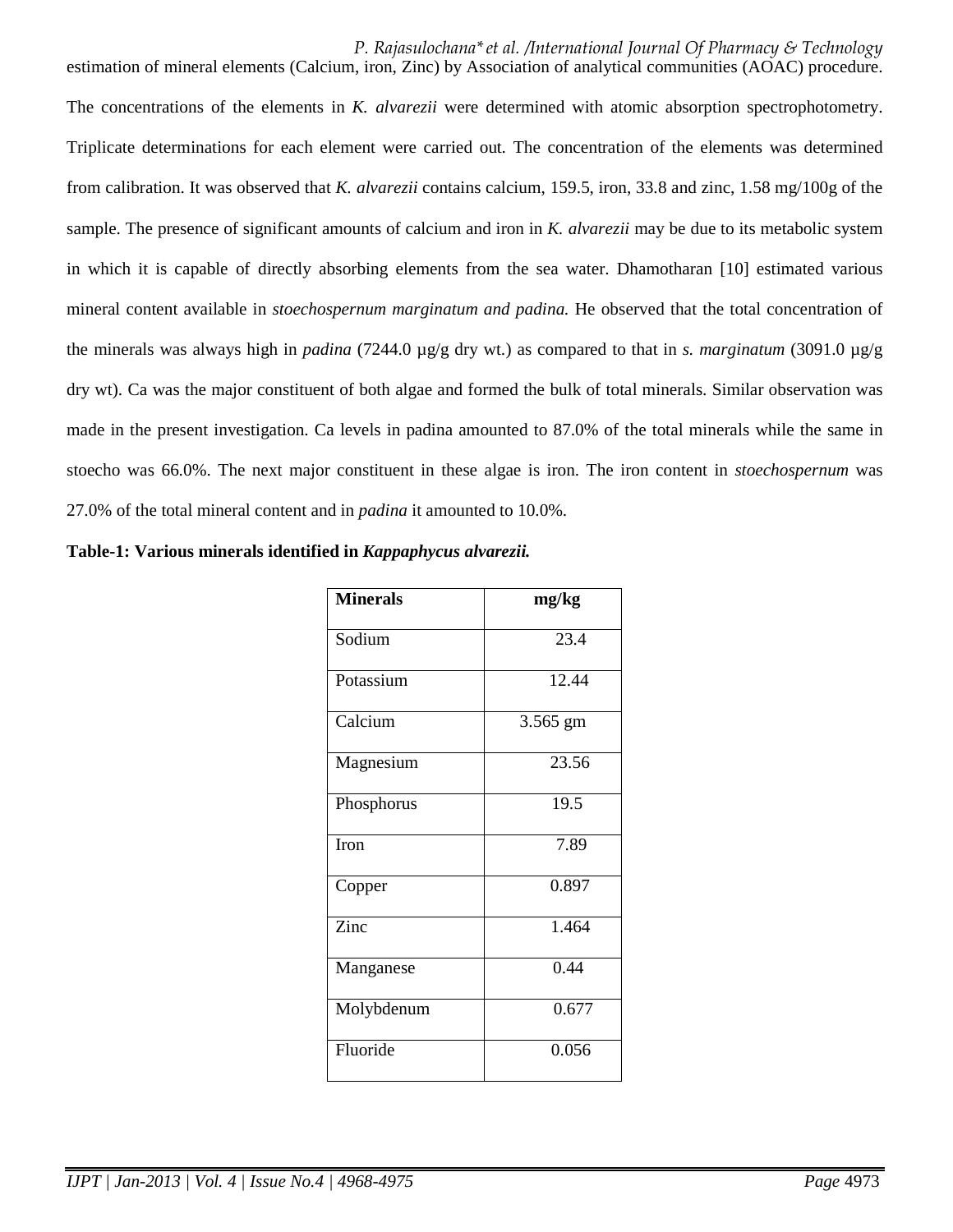*P. Rajasulochana\*et al. /International Journal Of Pharmacy & Technology*  estimation of mineral elements (Calcium, iron, Zinc) by Association of analytical communities (AOAC) procedure. The concentrations of the elements in *K. alvarezii* were determined with atomic absorption spectrophotometry. Triplicate determinations for each element were carried out. The concentration of the elements was determined from calibration. It was observed that *K. alvarezii* contains calcium, 159.5, iron, 33.8 and zinc, 1.58 mg/100g of the sample. The presence of significant amounts of calcium and iron in *K. alvarezii* may be due to its metabolic system in which it is capable of directly absorbing elements from the sea water. Dhamotharan [10] estimated various mineral content available in *stoechospernum marginatum and padina.* He observed that the total concentration of the minerals was always high in *padina* (7244.0 µg/g dry wt.) as compared to that in *s. marginatum* (3091.0 µg/g dry wt). Ca was the major constituent of both algae and formed the bulk of total minerals. Similar observation was made in the present investigation. Ca levels in padina amounted to 87.0% of the total minerals while the same in stoecho was 66.0%. The next major constituent in these algae is iron. The iron content in *stoechospernum* was 27.0% of the total mineral content and in *padina* it amounted to 10.0%.

| <b>Minerals</b> | mg/kg    |
|-----------------|----------|
| Sodium          | 23.4     |
| Potassium       | 12.44    |
| Calcium         | 3.565 gm |
| Magnesium       | 23.56    |
| Phosphorus      | 19.5     |
| Iron            | 7.89     |
| Copper          | 0.897    |
| Zinc            | 1.464    |
| Manganese       | 0.44     |
| Molybdenum      | 0.677    |
| Fluoride        | 0.056    |

| Table-1: Various minerals identified in Kappaphycus alvarezii. |  |
|----------------------------------------------------------------|--|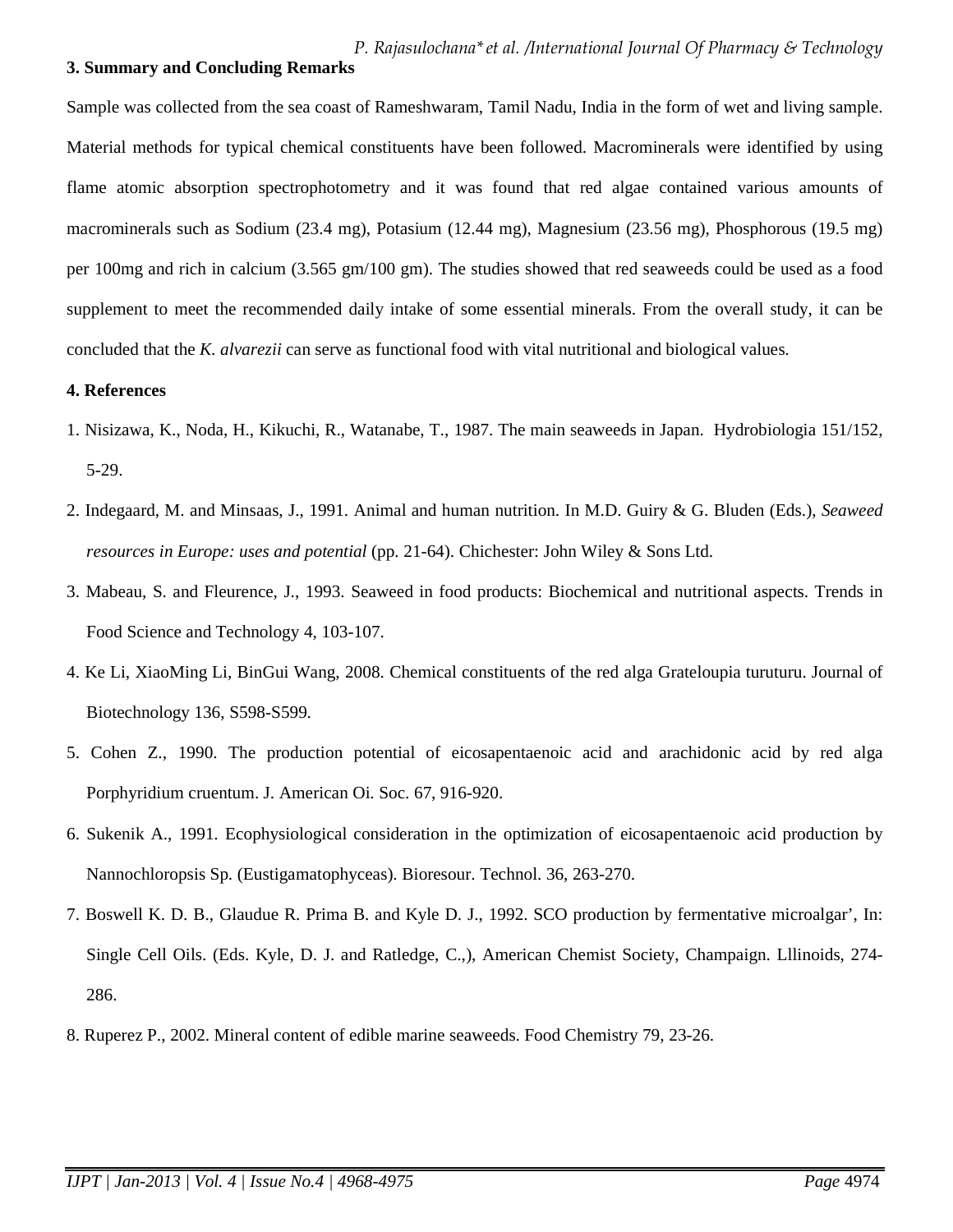## **3. Summary and Concluding Remarks**

Sample was collected from the sea coast of Rameshwaram, Tamil Nadu, India in the form of wet and living sample. Material methods for typical chemical constituents have been followed. Macrominerals were identified by using flame atomic absorption spectrophotometry and it was found that red algae contained various amounts of macrominerals such as Sodium (23.4 mg), Potasium (12.44 mg), Magnesium (23.56 mg), Phosphorous (19.5 mg) per 100mg and rich in calcium (3.565 gm/100 gm). The studies showed that red seaweeds could be used as a food supplement to meet the recommended daily intake of some essential minerals. From the overall study, it can be concluded that the *K. alvarezii* can serve as functional food with vital nutritional and biological values.

## **4. References**

- 1. Nisizawa, K., Noda, H., Kikuchi, R., Watanabe, T., 1987. The main seaweeds in Japan. Hydrobiologia 151/152, 5-29.
- 2. Indegaard, M. and Minsaas, J., 1991. Animal and human nutrition. In M.D. Guiry & G. Bluden (Eds.), *Seaweed resources in Europe: uses and potential (pp. 21-64). Chichester: John Wiley & Sons Ltd.*
- 3. Mabeau, S. and Fleurence, J., 1993. Seaweed in food products: Biochemical and nutritional aspects. Trends in Food Science and Technology 4, 103-107.
- 4. Ke Li, XiaoMing Li, BinGui Wang, 2008. Chemical constituents of the red alga Grateloupia turuturu. Journal of Biotechnology 136, S598-S599*.*
- 5. Cohen Z., 1990. The production potential of eicosapentaenoic acid and arachidonic acid by red alga Porphyridium cruentum. J. American Oi. Soc. 67, 916-920.
- 6. Sukenik A., 1991. Ecophysiological consideration in the optimization of eicosapentaenoic acid production by Nannochloropsis Sp. (Eustigamatophyceas). Bioresour. Technol. 36, 263-270.
- 7. Boswell K. D. B., Glaudue R. Prima B. and Kyle D. J., 1992. SCO production by fermentative microalgar', In: Single Cell Oils. (Eds. Kyle, D. J. and Ratledge, C.,), American Chemist Society, Champaign. Lllinoids, 274- 286.
- 8. Ruperez P., 2002. Mineral content of edible marine seaweeds. Food Chemistry 79, 23-26.